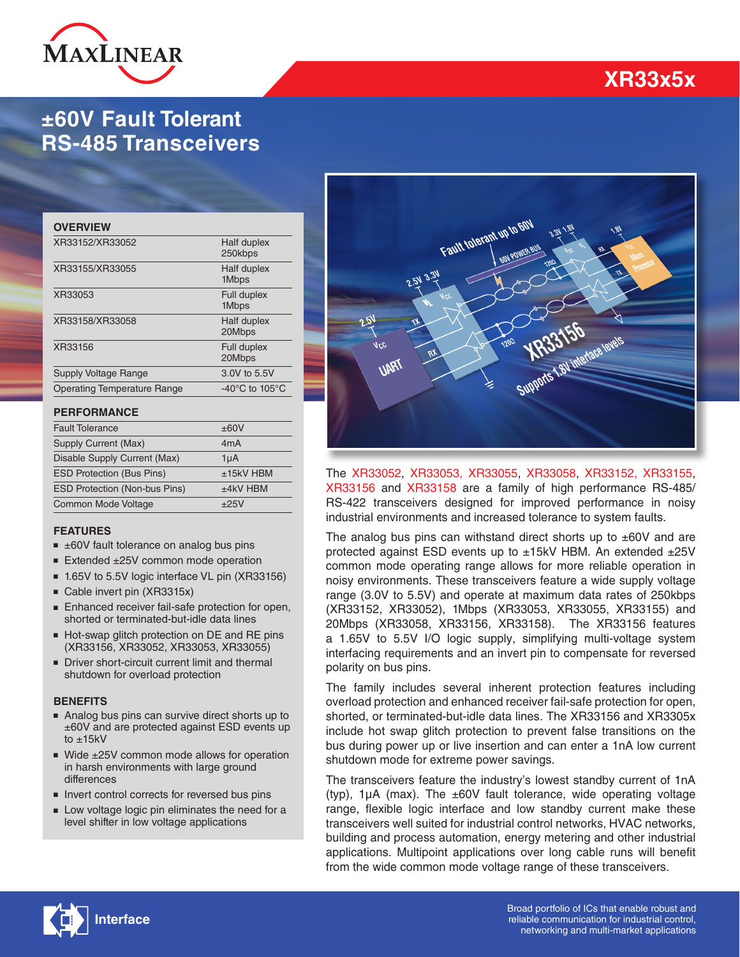

## **±60V Fault Tolerant RS-485 Transceivers**

#### **OVERVIEW**

| XR33152/XR33052                    | Half duplex<br>250kbps               |
|------------------------------------|--------------------------------------|
| XR33155/XR33055                    | Half duplex<br>1Mbps                 |
| XR33053                            | Full duplex<br>1Mbps                 |
| XR33158/XR33058                    | Half duplex<br>20Mbps                |
| XR33156                            | Full duplex<br>20Mbps                |
| <b>Supply Voltage Range</b>        | 3.0V to 5.5V                         |
| <b>Operating Temperature Range</b> | -40 $^{\circ}$ C to 105 $^{\circ}$ C |
|                                    |                                      |

#### **PERFORMANCE**

| <b>Fault Tolerance</b>               | ±60V             |
|--------------------------------------|------------------|
| Supply Current (Max)                 | 4 <sub>m</sub> A |
| Disable Supply Current (Max)         | 1uA              |
| <b>ESD Protection (Bus Pins)</b>     | $±15kV$ HBM      |
| <b>ESD Protection (Non-bus Pins)</b> | $±4kV$ HBM       |
| <b>Common Mode Voltage</b>           | ±25V             |

#### **FEATURES**

- $\equiv$   $\pm$ 60V fault tolerance on analog bus pins
- Extended ±25V common mode operation
- 1.65V to 5.5V logic interface VL pin (XR33156)
- Cable invert pin (XR3315x)
- Enhanced receiver fail-safe protection for open, shorted or terminated-but-idle data lines
- Hot-swap glitch protection on DE and RE pins (XR33156, XR33052, XR33053, XR33055)
- Driver short-circuit current limit and thermal shutdown for overload protection

#### **BENEFITS**

- Analog bus pins can survive direct shorts up to ±60V and are protected against ESD events up to ±15kV
- Wide ±25V common mode allows for operation in harsh environments with large ground differences
- Invert control corrects for reversed bus pins
- Low voltage logic pin eliminates the need for a level shifter in low voltage applications

# **WR3315b**<br>WR3315b

Fault tolerant up to

The [XR33052](http://www.exar.com/XR33052), [XR33053,](http://www.exar.com/XR33053) [XR33055](http://www.exar.com/XR33055), [XR33058,](http://www.exar.com/XR33058) [XR33152,](http://www.exar.com/XR33152) [XR33155](http://www.exar.com/XR33155), [XR33156](http://www.exar.com/XR33156) and [XR33158](http://www.exar.com/XR33158) are a family of high performance RS-485/ RS-422 transceivers designed for improved performance in noisy industrial environments and increased tolerance to system faults.

The analog bus pins can withstand direct shorts up to  $\pm 60V$  and are protected against ESD events up to ±15kV HBM. An extended ±25V common mode operating range allows for more reliable operation in noisy environments. These transceivers feature a wide supply voltage range (3.0V to 5.5V) and operate at maximum data rates of 250kbps (XR33152, XR33052), 1Mbps (XR33053, XR33055, XR33155) and 20Mbps (XR33058, XR33156, XR33158). The XR33156 features a 1.65V to 5.5V I/O logic supply, simplifying multi-voltage system interfacing requirements and an invert pin to compensate for reversed polarity on bus pins.

The family includes several inherent protection features including overload protection and enhanced receiver fail-safe protection for open, shorted, or terminated-but-idle data lines. The XR33156 and XR3305x include hot swap glitch protection to prevent false transitions on the bus during power up or live insertion and can enter a 1nA low current shutdown mode for extreme power savings.

The transceivers feature the industry's lowest standby current of 1nA (typ),  $1\mu$ A (max). The  $\pm 60V$  fault tolerance, wide operating voltage range, flexible logic interface and low standby current make these transceivers well suited for industrial control networks, HVAC networks, building and process automation, energy metering and other industrial applications. Multipoint applications over long cable runs will benefit from the wide common mode voltage range of these transceivers.



# **XR33x5x**